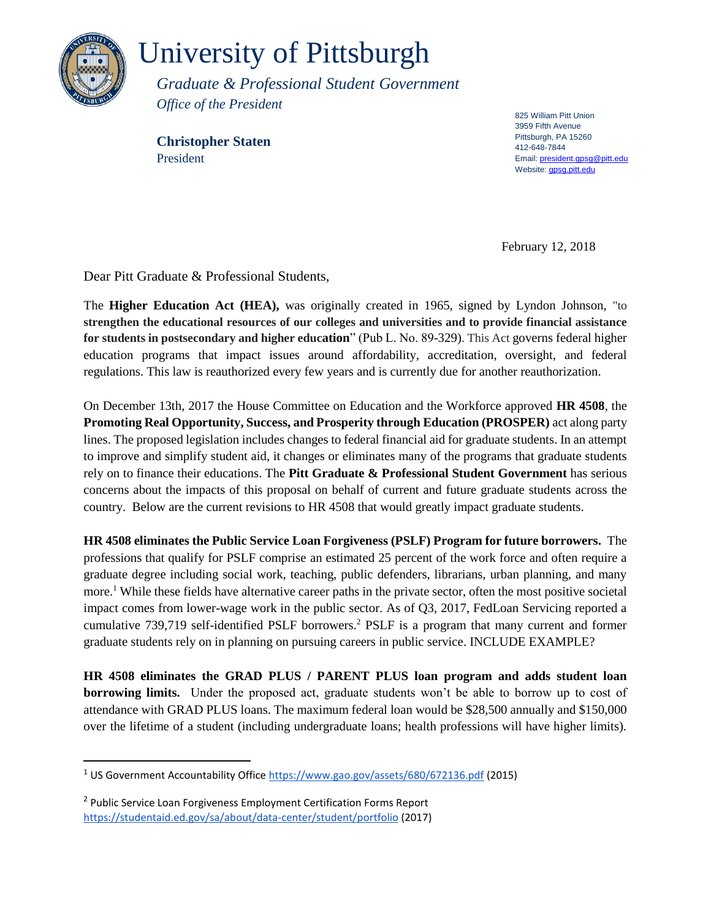

 $\overline{a}$ 

## University of Pittsburgh

*Graduate & Professional Student Government Office of the President*

**Christopher Staten** President

825 William Pitt Union 3959 Fifth Avenue Pittsburgh, PA 15260 412-648-7844 Email[: president.gpsg@pitt.edu](mailto:president.gpsg@pitt.edu) Website: **gpsg.pitt.edu** 

February 12, 2018

Dear Pitt Graduate & Professional Students,

The **Higher Education Act (HEA),** was originally created in 1965, signed by Lyndon Johnson, "to **strengthen the educational resources of our colleges and universities and to provide financial assistance for students in postsecondary and higher education**" (Pub L. No. 89-329). This Act governs federal higher education programs that impact issues around affordability, accreditation, oversight, and federal regulations. This law is reauthorized every few years and is currently due for another reauthorization.

On December 13th, 2017 the House Committee on Education and the Workforce approved **HR 4508**, the **Promoting Real Opportunity, Success, and Prosperity through Education (PROSPER)** act along party lines. The proposed legislation includes changes to federal financial aid for graduate students. In an attempt to improve and simplify student aid, it changes or eliminates many of the programs that graduate students rely on to finance their educations. The **Pitt Graduate & Professional Student Government** has serious concerns about the impacts of this proposal on behalf of current and future graduate students across the country. Below are the current revisions to HR 4508 that would greatly impact graduate students.

**HR 4508 eliminates the Public Service Loan Forgiveness (PSLF) Program for future borrowers.** The professions that qualify for PSLF comprise an estimated 25 percent of the work force and often require a graduate degree including social work, teaching, public defenders, librarians, urban planning, and many more.<sup>1</sup> While these fields have alternative career paths in the private sector, often the most positive societal impact comes from lower-wage work in the public sector. As of Q3, 2017, FedLoan Servicing reported a cumulative 739,719 self-identified PSLF borrowers.<sup>2</sup> PSLF is a program that many current and former graduate students rely on in planning on pursuing careers in public service. INCLUDE EXAMPLE?

**HR 4508 eliminates the GRAD PLUS / PARENT PLUS loan program and adds student loan borrowing limits.** Under the proposed act, graduate students won't be able to borrow up to cost of attendance with GRAD PLUS loans. The maximum federal loan would be \$28,500 annually and \$150,000 over the lifetime of a student (including undergraduate loans; health professions will have higher limits).

<sup>1</sup> US Government Accountability Offic[e https://www.gao.gov/assets/680/672136.pdf](https://www.gao.gov/assets/680/672136.pdf) (2015)

<sup>&</sup>lt;sup>2</sup> Public Service Loan Forgiveness Employment Certification Forms Report <https://studentaid.ed.gov/sa/about/data-center/student/portfolio> (2017)